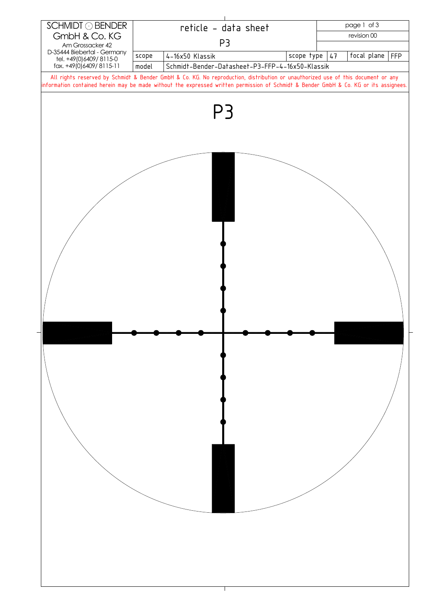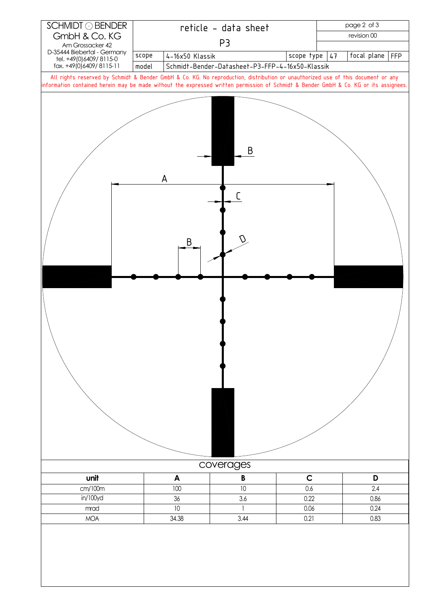